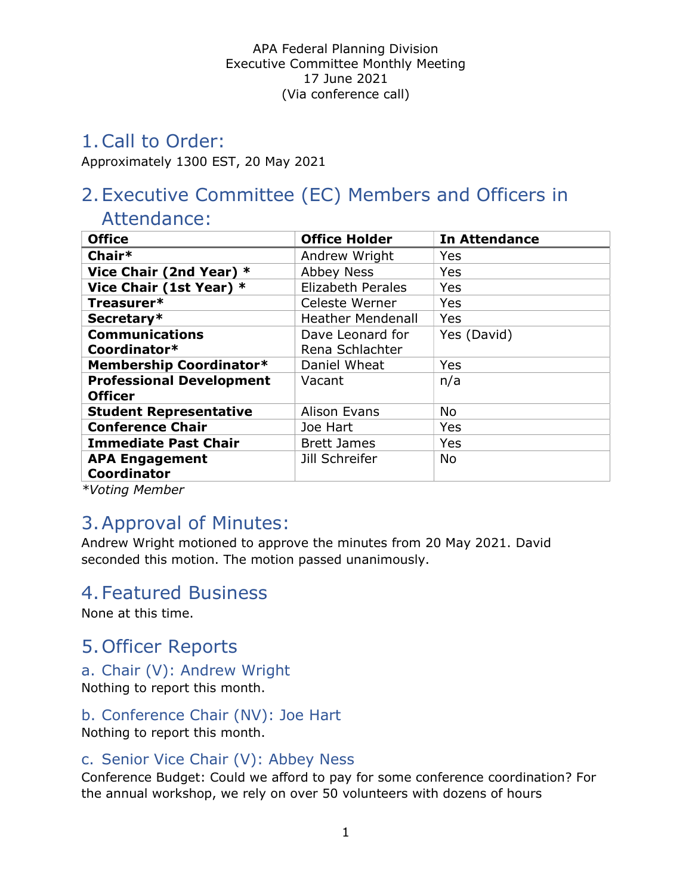## 1.Call to Order:

Approximately 1300 EST, 20 May 2021

# 2.Executive Committee (EC) Members and Officers in

## Attendance:

| <b>Office</b>                   | <b>Office Holder</b>     | <b>In Attendance</b> |
|---------------------------------|--------------------------|----------------------|
| Chair*                          | Andrew Wright            | Yes                  |
| Vice Chair (2nd Year) *         | <b>Abbey Ness</b>        | Yes                  |
| Vice Chair (1st Year) *         | <b>Elizabeth Perales</b> | Yes                  |
| Treasurer*                      | Celeste Werner           | Yes                  |
| Secretary*                      | <b>Heather Mendenall</b> | Yes                  |
| <b>Communications</b>           | Dave Leonard for         | Yes (David)          |
| Coordinator*                    | Rena Schlachter          |                      |
| Membership Coordinator*         | Daniel Wheat             | Yes                  |
| <b>Professional Development</b> | Vacant                   | n/a                  |
| <b>Officer</b>                  |                          |                      |
| <b>Student Representative</b>   | Alison Evans             | <b>No</b>            |
| <b>Conference Chair</b>         | Joe Hart                 | Yes                  |
| <b>Immediate Past Chair</b>     | <b>Brett James</b>       | Yes                  |
| <b>APA Engagement</b>           | Jill Schreifer           | <b>No</b>            |
| <b>Coordinator</b>              |                          |                      |

\*Voting Member

# 3.Approval of Minutes:

Andrew Wright motioned to approve the minutes from 20 May 2021. David seconded this motion. The motion passed unanimously.

## 4.Featured Business

None at this time.

# 5.Officer Reports

## a. Chair (V): Andrew Wright

Nothing to report this month.

## b. Conference Chair (NV): Joe Hart

Nothing to report this month.

## c. Senior Vice Chair (V): Abbey Ness

Conference Budget: Could we afford to pay for some conference coordination? For the annual workshop, we rely on over 50 volunteers with dozens of hours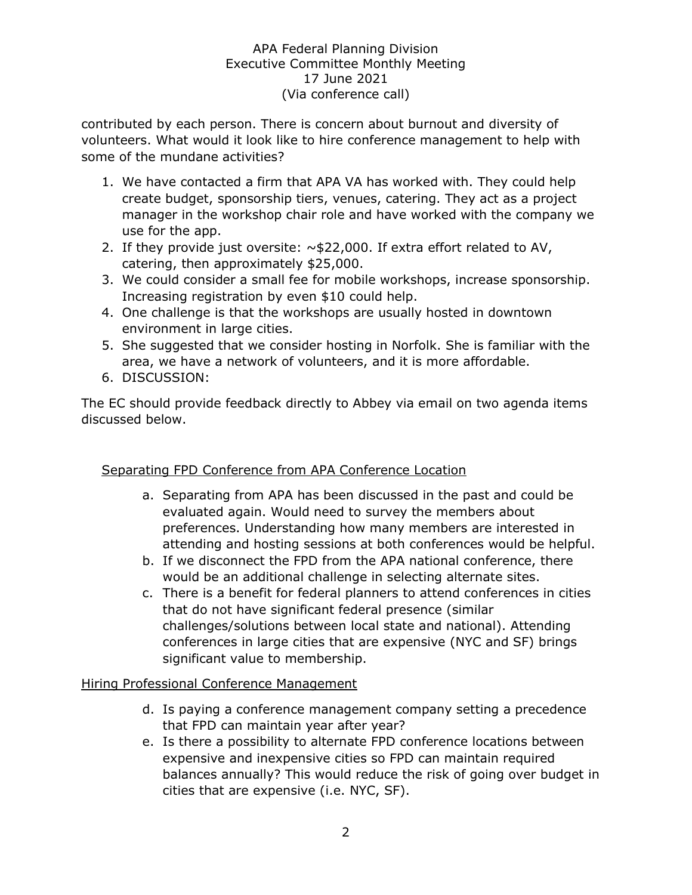contributed by each person. There is concern about burnout and diversity of volunteers. What would it look like to hire conference management to help with some of the mundane activities?

- 1. We have contacted a firm that APA VA has worked with. They could help create budget, sponsorship tiers, venues, catering. They act as a project manager in the workshop chair role and have worked with the company we use for the app.
- 2. If they provide just oversite:  $\sim$ \$22,000. If extra effort related to AV, catering, then approximately \$25,000.
- 3. We could consider a small fee for mobile workshops, increase sponsorship. Increasing registration by even \$10 could help.
- 4. One challenge is that the workshops are usually hosted in downtown environment in large cities.
- 5. She suggested that we consider hosting in Norfolk. She is familiar with the area, we have a network of volunteers, and it is more affordable.
- 6. DISCUSSION:

The EC should provide feedback directly to Abbey via email on two agenda items discussed below.

## Separating FPD Conference from APA Conference Location

- a. Separating from APA has been discussed in the past and could be evaluated again. Would need to survey the members about preferences. Understanding how many members are interested in attending and hosting sessions at both conferences would be helpful.
- b. If we disconnect the FPD from the APA national conference, there would be an additional challenge in selecting alternate sites.
- c. There is a benefit for federal planners to attend conferences in cities that do not have significant federal presence (similar challenges/solutions between local state and national). Attending conferences in large cities that are expensive (NYC and SF) brings significant value to membership.

#### Hiring Professional Conference Management

- d. Is paying a conference management company setting a precedence that FPD can maintain year after year?
- e. Is there a possibility to alternate FPD conference locations between expensive and inexpensive cities so FPD can maintain required balances annually? This would reduce the risk of going over budget in cities that are expensive (i.e. NYC, SF).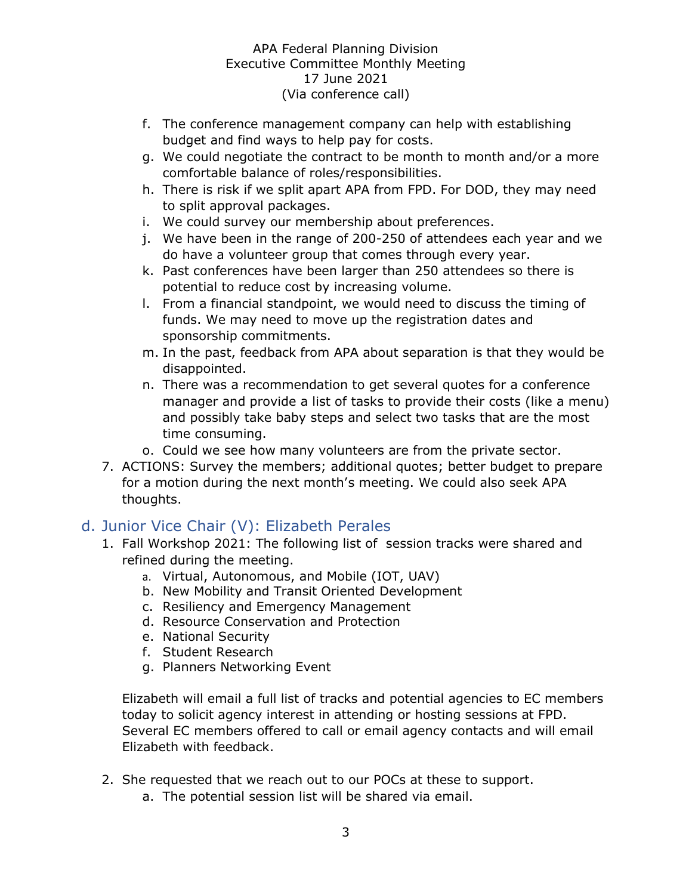- f. The conference management company can help with establishing budget and find ways to help pay for costs.
- g. We could negotiate the contract to be month to month and/or a more comfortable balance of roles/responsibilities.
- h. There is risk if we split apart APA from FPD. For DOD, they may need to split approval packages.
- i. We could survey our membership about preferences.
- j. We have been in the range of 200-250 of attendees each year and we do have a volunteer group that comes through every year.
- k. Past conferences have been larger than 250 attendees so there is potential to reduce cost by increasing volume.
- l. From a financial standpoint, we would need to discuss the timing of funds. We may need to move up the registration dates and sponsorship commitments.
- m. In the past, feedback from APA about separation is that they would be disappointed.
- n. There was a recommendation to get several quotes for a conference manager and provide a list of tasks to provide their costs (like a menu) and possibly take baby steps and select two tasks that are the most time consuming.
- o. Could we see how many volunteers are from the private sector.
- 7. ACTIONS: Survey the members; additional quotes; better budget to prepare for a motion during the next month's meeting. We could also seek APA thoughts.

## d. Junior Vice Chair (V): Elizabeth Perales

- 1. Fall Workshop 2021: The following list of session tracks were shared and refined during the meeting.
	- a. Virtual, Autonomous, and Mobile (IOT, UAV)
	- b. New Mobility and Transit Oriented Development
	- c. Resiliency and Emergency Management
	- d. Resource Conservation and Protection
	- e. National Security
	- f. Student Research
	- g. Planners Networking Event

Elizabeth will email a full list of tracks and potential agencies to EC members today to solicit agency interest in attending or hosting sessions at FPD. Several EC members offered to call or email agency contacts and will email Elizabeth with feedback.

- 2. She requested that we reach out to our POCs at these to support.
	- a. The potential session list will be shared via email.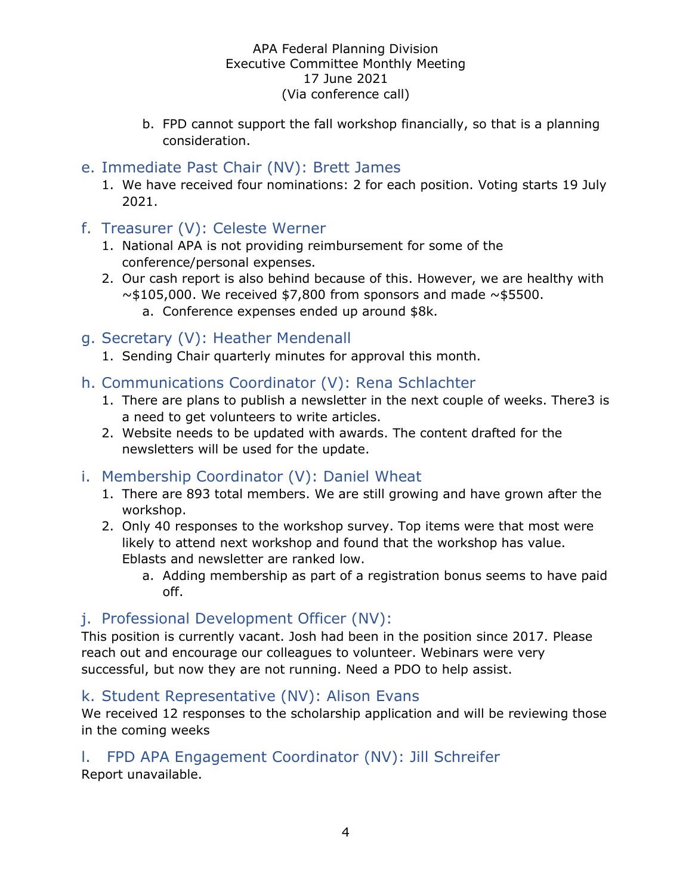b. FPD cannot support the fall workshop financially, so that is a planning consideration.

## e. Immediate Past Chair (NV): Brett James

- 1. We have received four nominations: 2 for each position. Voting starts 19 July 2021.
- f. Treasurer (V): Celeste Werner
	- 1. National APA is not providing reimbursement for some of the conference/personal expenses.
	- 2. Our cash report is also behind because of this. However, we are healthy with  $\sim$ \$105,000. We received \$7,800 from sponsors and made  $\sim$ \$5500.
		- a. Conference expenses ended up around \$8k.

### g. Secretary (V): Heather Mendenall

1. Sending Chair quarterly minutes for approval this month.

## h. Communications Coordinator (V): Rena Schlachter

- 1. There are plans to publish a newsletter in the next couple of weeks. There3 is a need to get volunteers to write articles.
- 2. Website needs to be updated with awards. The content drafted for the newsletters will be used for the update.

## i. Membership Coordinator (V): Daniel Wheat

- 1. There are 893 total members. We are still growing and have grown after the workshop.
- 2. Only 40 responses to the workshop survey. Top items were that most were likely to attend next workshop and found that the workshop has value. Eblasts and newsletter are ranked low.
	- a. Adding membership as part of a registration bonus seems to have paid off.

## j. Professional Development Officer (NV):

This position is currently vacant. Josh had been in the position since 2017. Please reach out and encourage our colleagues to volunteer. Webinars were very successful, but now they are not running. Need a PDO to help assist.

## k. Student Representative (NV): Alison Evans

We received 12 responses to the scholarship application and will be reviewing those in the coming weeks

## l. FPD APA Engagement Coordinator (NV): Jill Schreifer

Report unavailable.